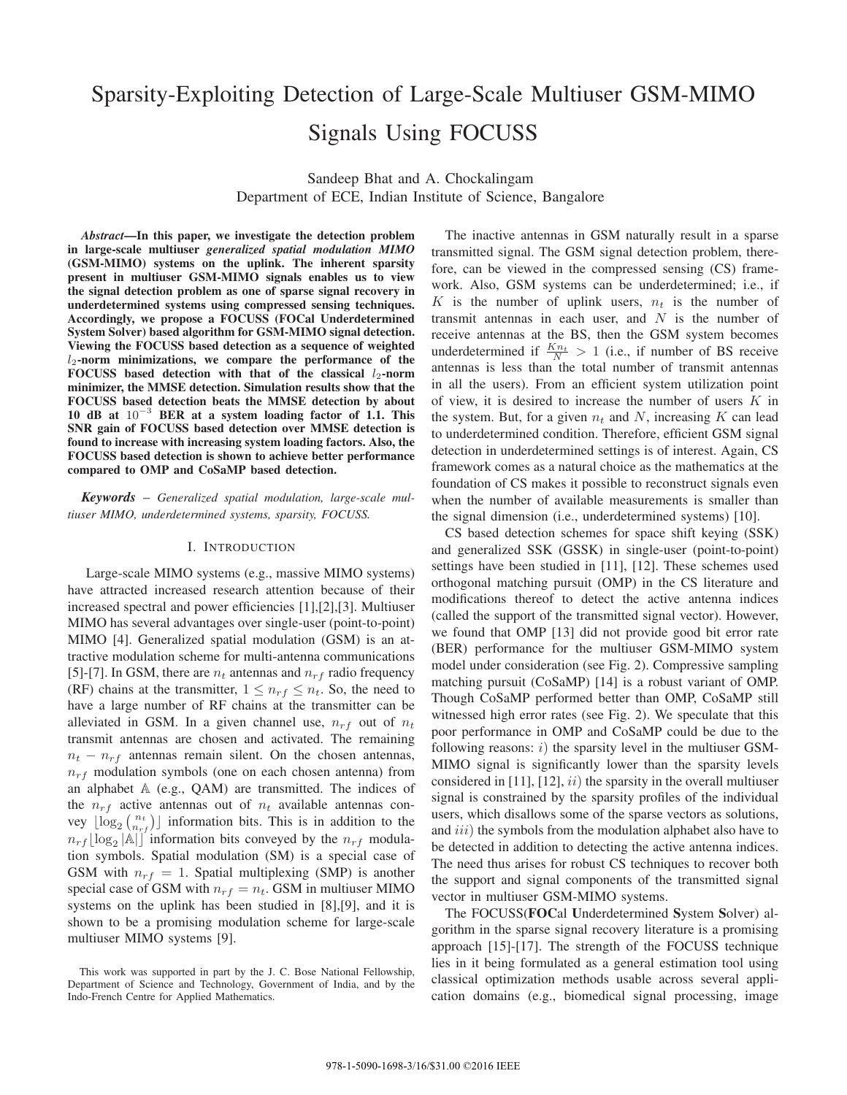# Sparsity-Exploiting Detection of Large-Scale Multiuser GSM-MIMO Signals Using FOCUSS

Sandeep Bhat and A. Chockalingam Department of ECE, Indian Institute of Science, Bangalore

*Abstract***—In this paper, we investigate the detection problem in large-scale multiuser** *generalized spatial modulation MIMO* **(GSM-MIMO) systems on the uplink. The inherent sparsity present in multiuser GSM-MIMO signals enables us to view the signal detection problem as one of sparse signal recovery in underdetermined systems using compressed sensing techniques. Accordingly, we propose a FOCUSS (FOCal Underdetermined System Solver) based algorithm for GSM-MIMO signal detection. Viewing the FOCUSS based detection as a sequence of weighted** 2**-norm minimizations, we compare the performance of the** FOCUSS based detection with that of the classical  $l_2$ -norm **minimizer, the MMSE detection. Simulation results show that the FOCUSS based detection beats the MMSE detection by about 10 dB at** 10−<sup>3</sup> **BER at a system loading factor of 1.1. This SNR gain of FOCUSS based detection over MMSE detection is found to increase with increasing system loading factors. Also, the FOCUSS based detection is shown to achieve better performance compared to OMP and CoSaMP based detection.**

*Keywords* – *Generalized spatial modulation, large-scale multiuser MIMO, underdetermined systems, sparsity, FOCUSS.*

### I. INTRODUCTION

Large-scale MIMO systems (e.g., massive MIMO systems) have attracted increased research attention because of their increased spectral and power efficiencies [1],[2],[3]. Multiuser MIMO has several advantages over single-user (point-to-point) MIMO [4]. Generalized spatial modulation (GSM) is an attractive modulation scheme for multi-antenna communications [5]-[7]. In GSM, there are  $n_t$  antennas and  $n_{rf}$  radio frequency (RF) chains at the transmitter,  $1 \leq n_r$   $\leq n_t$ . So, the need to have a large number of RF chains at the transmitter can be alleviated in GSM. In a given channel use,  $n_{rf}$  out of  $n_t$ transmit antennas are chosen and activated. The remaining  $n_t - n_{rf}$  antennas remain silent. On the chosen antennas,  $n_{rf}$  modulation symbols (one on each chosen antenna) from an alphabet  $A$  (e.g., QAM) are transmitted. The indices of the  $n_{rf}$  active antennas out of  $n_t$  available antennas convey  $\lfloor \log_2 {n_t \choose n_{rf}} \rfloor$  information bits. This is in addition to the  $n_{rf}$ [log<sub>2</sub> |A|] information bits conveyed by the  $n_{rf}$  modulation symbols. Spatial modulation (SM) is a special case of GSM with  $n_{rf} = 1$ . Spatial multiplexing (SMP) is another special case of GSM with  $n_{rf} = n_t$ . GSM in multiuser MIMO systems on the uplink has been studied in [8],[9], and it is shown to be a promising modulation scheme for large-scale multiuser MIMO systems [9].

The inactive antennas in GSM naturally result in a sparse transmitted signal. The GSM signal detection problem, therefore, can be viewed in the compressed sensing (CS) framework. Also, GSM systems can be underdetermined; i.e., if K is the number of uplink users,  $n_t$  is the number of transmit antennas in each user, and  $N$  is the number of receive antennas at the BS, then the GSM system becomes underdetermined if  $\frac{Kn_t}{N} > 1$  (i.e., if number of BS receive antennas is less than the total number of transmit antennas in all the users). From an efficient system utilization point of view, it is desired to increase the number of users  $K$  in the system. But, for a given  $n_t$  and N, increasing K can lead to underdetermined condition. Therefore, efficient GSM signal detection in underdetermined settings is of interest. Again, CS framework comes as a natural choice as the mathematics at the foundation of CS makes it possible to reconstruct signals even when the number of available measurements is smaller than the signal dimension (i.e., underdetermined systems) [10].

CS based detection schemes for space shift keying (SSK) and generalized SSK (GSSK) in single-user (point-to-point) settings have been studied in [11], [12]. These schemes used orthogonal matching pursuit (OMP) in the CS literature and modifications thereof to detect the active antenna indices (called the support of the transmitted signal vector). However, we found that OMP [13] did not provide good bit error rate (BER) performance for the multiuser GSM-MIMO system model under consideration (see Fig. 2). Compressive sampling matching pursuit (CoSaMP) [14] is a robust variant of OMP. Though CoSaMP performed better than OMP, CoSaMP still witnessed high error rates (see Fig. 2). We speculate that this poor performance in OMP and CoSaMP could be due to the following reasons:  $i)$  the sparsity level in the multiuser GSM-MIMO signal is significantly lower than the sparsity levels considered in [11], [12],  $ii)$  the sparsity in the overall multiuser signal is constrained by the sparsity profiles of the individual users, which disallows some of the sparse vectors as solutions, and  $iii$ ) the symbols from the modulation alphabet also have to be detected in addition to detecting the active antenna indices. The need thus arises for robust CS techniques to recover both the support and signal components of the transmitted signal vector in multiuser GSM-MIMO systems.

The FOCUSS(**FOC**al **U**nderdetermined **S**ystem **S**olver) algorithm in the sparse signal recovery literature is a promising approach [15]-[17]. The strength of the FOCUSS technique lies in it being formulated as a general estimation tool using classical optimization methods usable across several application domains (e.g., biomedical signal processing, image

This work was supported in part by the J. C. Bose National Fellowship, Department of Science and Technology, Government of India, and by the Indo-French Centre for Applied Mathematics.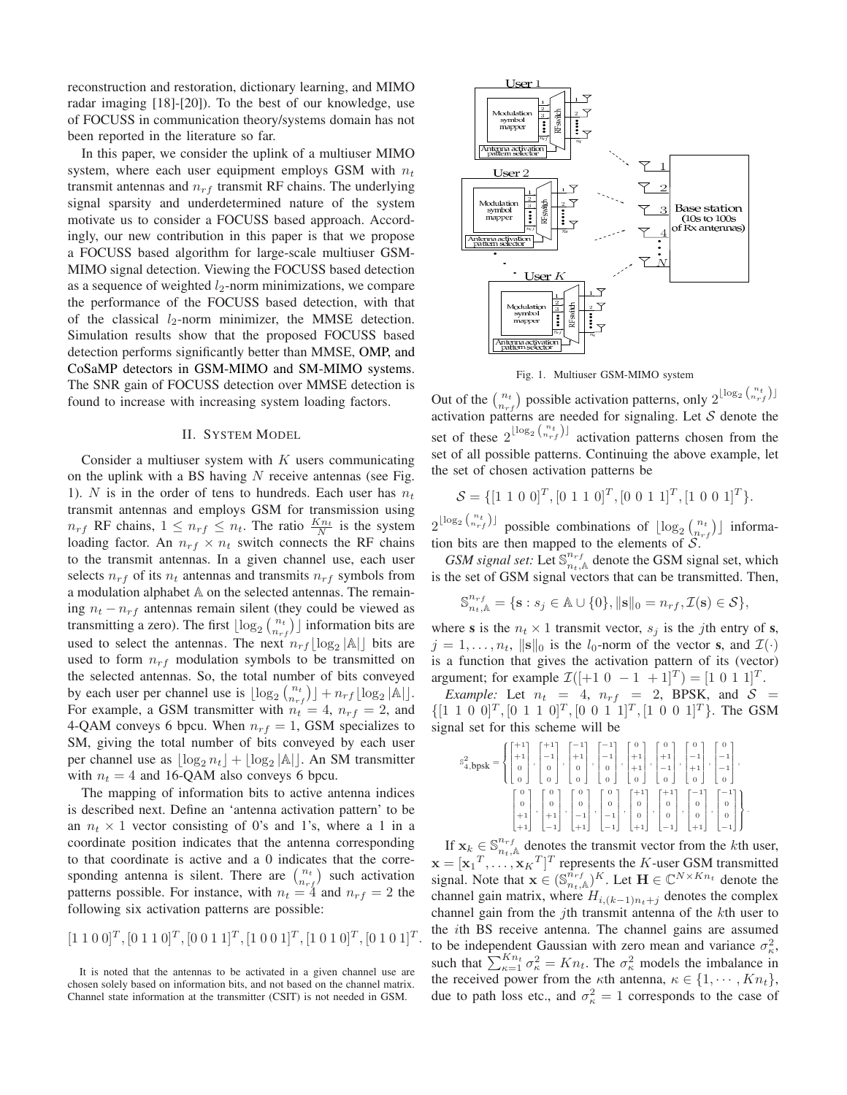reconstruction and restoration, dictionary learning, and MIMO radar imaging [18]-[20]). To the best of our knowledge, use of FOCUSS in communication theory/systems domain has not been reported in the literature so far.

In this paper, we consider the uplink of a multiuser MIMO system, where each user equipment employs GSM with  $n_t$ transmit antennas and  $n_{rf}$  transmit RF chains. The underlying signal sparsity and underdetermined nature of the system motivate us to consider a FOCUSS based approach. Accordingly, our new contribution in this paper is that we propose a FOCUSS based algorithm for large-scale multiuser GSM-MIMO signal detection. Viewing the FOCUSS based detection as a sequence of weighted  $l_2$ -norm minimizations, we compare the performance of the FOCUSS based detection, with that of the classical  $l_2$ -norm minimizer, the MMSE detection. Simulation results show that the proposed FOCUSS based detection performs significantly better than MMSE, OMP, and CoSaMP detectors in GSM-MIMO and SM-MIMO systems. The SNR gain of FOCUSS detection over MMSE detection is found to increase with increasing system loading factors.

# II. SYSTEM MODEL

Consider a multiuser system with  $K$  users communicating on the uplink with a BS having  $N$  receive antennas (see Fig. 1). N is in the order of tens to hundreds. Each user has  $n_t$ transmit antennas and employs GSM for transmission using  $n_{rf}$  RF chains,  $1 \leq n_{rf} \leq n_t$ . The ratio  $\frac{Kn_t}{N}$  is the system loading factor. An  $n_{rf} \times n_t$  switch connects the RF chains to the transmit antennas. In a given channel use, each user selects  $n_{rf}$  of its  $n_t$  antennas and transmits  $n_{rf}$  symbols from a modulation alphabet  $A$  on the selected antennas. The remaining  $n_t - n_{rf}$  antennas remain silent (they could be viewed as transmitting a zero). The first  $\lfloor \log_2 {n_t \choose n_{rf}} \rfloor$  information bits are used to select the antennas. The next  $n_{rf} \lfloor \log_2 |A| \rfloor$  bits are used to form  $n_{rf}$  modulation symbols to be transmitted on the selected antennas. So, the total number of bits conveyed by each user per channel use is  $\lfloor \log_2 {n_t \choose n_{rf}} \rfloor + n_{rf} \lfloor \log_2 |\mathbb{A}| \rfloor$ . For example, a GSM transmitter with  $n_t = 4$ ,  $n_{rf} = 2$ , and 4-QAM conveys 6 bpcu. When  $n_{rf} = 1$ , GSM specializes to SM, giving the total number of bits conveyed by each user per channel use as  $\lfloor \log_2 n_t \rfloor + \lfloor \log_2 |\mathbb{A}| \rfloor$ . An SM transmitter with  $n_t = 4$  and 16-QAM also conveys 6 bpcu.

The mapping of information bits to active antenna indices is described next. Define an 'antenna activation pattern' to be an  $n_t \times 1$  vector consisting of 0's and 1's, where a 1 in a coordinate position indicates that the antenna corresponding to that coordinate is active and a 0 indicates that the corresponding antenna is silent. There are  $\binom{n_t}{n_{rf}}$  such activation patterns possible. For instance, with  $n_t = 4$  and  $n_{rf} = 2$  the following six activation patterns are possible:

$$
[1\ 1\ 0\ 0]^T, [0\ 1\ 1\ 0]^T, [0\ 0\ 1\ 1]^T, [1\ 0\ 0\ 1]^T, [1\ 0\ 1\ 0]^T, [0\ 1\ 0\ 1]^T.
$$

It is noted that the antennas to be activated in a given channel use are chosen solely based on information bits, and not based on the channel matrix. Channel state information at the transmitter (CSIT) is not needed in GSM.



Fig. 1. Multiuser GSM-MIMO system

Out of the  $\binom{n_t}{n_{rf}}$  possible activation patterns, only  $2^{\lfloor \log_2 \binom{n_t}{n_{rf}} \rfloor}$ activation patterns are needed for signaling. Let  $S$  denote the set of these  $2^{\lfloor \log_2 \binom{n_t}{n_{rf}} \rfloor}$  activation patterns chosen from the set of all possible patterns. Continuing the above example, let the set of chosen activation patterns be

$$
S = \{ [1 \ 1 \ 0 \ 0]^T, [0 \ 1 \ 1 \ 0]^T, [0 \ 0 \ 1 \ 1]^T, [1 \ 0 \ 0 \ 1]^T \}.
$$

 $2^{\lfloor \log_2 \binom{n_t}{n_{rf}} \rfloor}$  possible combinations of  $\lfloor \log_2 \binom{n_t}{n_{rf}} \rfloor$  information bits are then mapped to the elements of  $S$ .

GSM signal set: Let  $\mathbb{S}^{n_{rf}}_{n_t,\mathbb{A}}$  denote the GSM signal set, which is the set of GSM signal vectors that can be transmitted. Then,

$$
\mathbb{S}^{n_{rf}}_{n_t,\mathbb{A}} = \{ \mathbf{s} : s_j \in \mathbb{A} \cup \{0\}, ||\mathbf{s}||_0 = n_{rf}, \mathcal{I}(\mathbf{s}) \in \mathcal{S} \},
$$

where **s** is the  $n_t \times 1$  transmit vector,  $s_j$  is the jth entry of **s**,  $j = 1, \ldots, n_t$ ,  $\|\mathbf{s}\|_0$  is the  $l_0$ -norm of the vector **s**, and  $\mathcal{I}(\cdot)$ is a function that gives the activation pattern of its (vector) argument; for example  $\mathcal{I}([-1 \ 0 \ -1 \ +1]^T) = [1 \ 0 \ 1 \ 1]^T$ .

*Example:* Let  $n_t = 4$ ,  $n_{rf} = 2$ , BPSK, and  $S =$  $\{[1\;1\;0\;0]^T,[0\;1\;1\;0]^T,[0\;0\;1\;1]^T,[1\;0\;0\;1]^T\}$ . The GSM signal set for this scheme will be

| $\mathbb{S}^2_{4,\text{bpsk}} = \left\{ \begin{bmatrix} +1 \\ +1 \\ 0 \end{bmatrix}, \begin{bmatrix} +1 \\ -1 \\ 0 \end{bmatrix}, \begin{bmatrix} -1 \\ +1 \\ 0 \end{bmatrix}, \begin{bmatrix} -1 \\ -1 \\ 0 \end{bmatrix}, \begin{bmatrix} 0 \\ +1 \\ +1 \\ 0 \end{bmatrix}, \begin{bmatrix} 0 \\ +1 \\ +1 \\ -1 \\ 0 \end{bmatrix}, \begin{bmatrix} 0 \\ -1 \\ -1 \\ 0 \end{bmatrix}, \begin{bmatrix} 0 \\ -1 \\ -1 \\ 0 \end{bmatrix}, \begin{bmatrix} 0 \\ -1 \\ -1 \\ 0 \end{bmatrix}, \$ |  |  |  |                                                                                                                                                                                                                                                                                                                                                                                                                                            |
|------------------------------------------------------------------------------------------------------------------------------------------------------------------------------------------------------------------------------------------------------------------------------------------------------------------------------------------------------------------------------------------------------------------------------------------------------------------------------------------------|--|--|--|--------------------------------------------------------------------------------------------------------------------------------------------------------------------------------------------------------------------------------------------------------------------------------------------------------------------------------------------------------------------------------------------------------------------------------------------|
|                                                                                                                                                                                                                                                                                                                                                                                                                                                                                                |  |  |  | $\begin{bmatrix} 0 \\ 0 \\ +1 \\ +1 \end{bmatrix}, \begin{bmatrix} 0 \\ 0 \\ +1 \\ -1 \end{bmatrix}, \begin{bmatrix} 0 \\ 0 \\ 0 \\ -1 \\ +1 \end{bmatrix}, \begin{bmatrix} 0 \\ 0 \\ -1 \\ -1 \end{bmatrix}, \begin{bmatrix} +1 \\ 0 \\ 0 \\ 0 \\ -1 \end{bmatrix}, \begin{bmatrix} +1 \\ 0 \\ 0 \\ 0 \\ -1 \end{bmatrix}, \begin{bmatrix} -1 \\ 0 \\ 0 \\ 0 \\ -1 \end{bmatrix}, \begin{bmatrix} -1 \\ 0 \\ 0 \\ 0 \\ -1 \end{bmatrix}.$ |

If  $\mathbf{x}_k \in \mathbb{S}^{n_{rf}}_{n_t,\mathbb{A}}$  denotes the transmit vector from the kth user,  $\mathbf{x} = [\mathbf{x}_1^T, \dots, \mathbf{x}_K^T]^T$  represents the *K*-user GSM transmitted signal. Note that  $\mathbf{x} \in (\mathbb{S}_{n_t,\mathbb{A}}^{n_{rf}})^K$ . Let  $\mathbf{H} \in \mathbb{C}^{N \times Kn_t}$  denote the channel gain matrix, where  $H_{i,(k-1)n_t+j}$  denotes the complex channel gain from the  $j$ th transmit antenna of the  $k$ th user to the *i*th BS receive antenna. The channel gains are assumed to be independent Gaussian with zero mean and variance  $\sigma_{\kappa}^2$ , such that  $\sum_{\kappa=1}^{Kn_t} \sigma_{\kappa}^2 = Kn_t$ . The  $\sigma_{\kappa}^2$  models the imbalance in the received power from the  $\kappa$ th antenna,  $\kappa \in \{1, \cdots, Kn_t\},\$ due to path loss etc., and  $\sigma_{\kappa}^2 = 1$  corresponds to the case of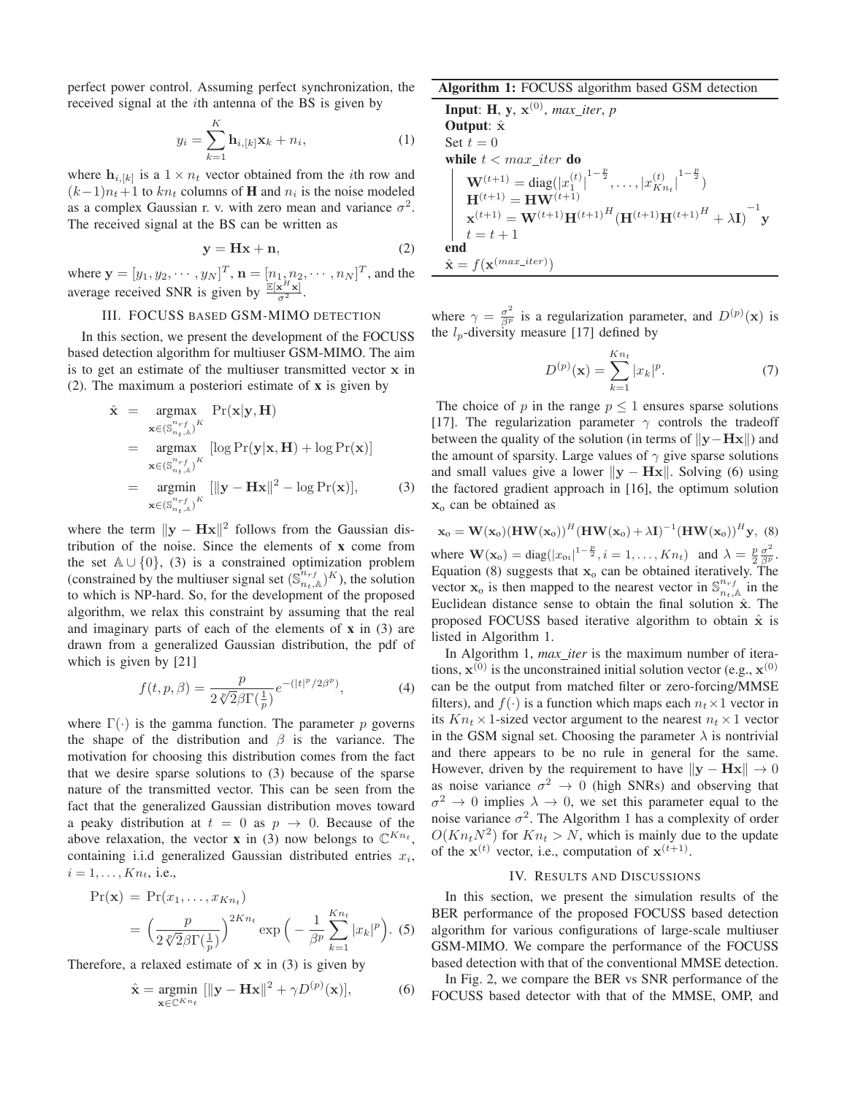perfect power control. Assuming perfect synchronization, the received signal at the *i*th antenna of the BS is given by

$$
y_i = \sum_{k=1}^{K} \mathbf{h}_{i,[k]} \mathbf{x}_k + n_i,
$$
 (1)

where  $\mathbf{h}_{i,[k]}$  is a  $1 \times n_t$  vector obtained from the *i*th row and  $(k-1)n_t+1$  to  $kn_t$  columns of **H** and  $n_i$  is the noise modeled as a complex Gaussian r. v. with zero mean and variance  $\sigma^2$ . The received signal at the BS can be written as

$$
y = Hx + n,\t(2)
$$

where  $\mathbf{y} = [y_1, y_2, \cdots, y_N]^T$ ,  $\mathbf{n} = [n_1, n_2, \cdots, n_N]^T$ , and the average received SNR is given by  $\frac{\mathbb{E}[\mathbf{x}^H \mathbf{x}]}{\sigma^2}$ .

## III. FOCUSS BASED GSM-MIMO DETECTION

In this section, we present the development of the FOCUSS based detection algorithm for multiuser GSM-MIMO. The aim is to get an estimate of the multiuser transmitted vector **x** in (2). The maximum a posteriori estimate of **x** is given by

$$
\hat{\mathbf{x}} = \underset{\mathbf{x} \in (\mathbb{S}_{n_t,k}^{n_r f})^K}{\operatorname{argmax}} \Pr(\mathbf{x} | \mathbf{y}, \mathbf{H})
$$
\n
$$
= \underset{\mathbf{x} \in (\mathbb{S}_{n_t,k}^{n_r f})^K}{\operatorname{argmax}} [\log \Pr(\mathbf{y} | \mathbf{x}, \mathbf{H}) + \log \Pr(\mathbf{x})]
$$
\n
$$
= \underset{\mathbf{x} \in (\mathbb{S}_{n_t,k}^{n_r f})^K}{\operatorname{argmin}} [\|\mathbf{y} - \mathbf{H} \mathbf{x}\|^2 - \log \Pr(\mathbf{x})], \qquad (3)
$$

where the term  $||\mathbf{y} - \mathbf{Hx}||^2$  follows from the Gaussian distribution of the noise. Since the elements of **x** come from the set  $\mathbb{A} \cup \{0\}$ , (3) is a constrained optimization problem (constrained by the multiuser signal set  $(\mathbb{S}^{n_{rf}}_{n_t,\mathbb{A}})^K$ ), the solution to which is NP-hard. So, for the development of the proposed algorithm, we relax this constraint by assuming that the real and imaginary parts of each of the elements of **x** in (3) are drawn from a generalized Gaussian distribution, the pdf of which is given by [21]

$$
f(t, p, \beta) = \frac{p}{2\sqrt[p]{2}\beta \Gamma(\frac{1}{p})} e^{-(|t|^p/2\beta^p)},
$$
 (4)

where  $\Gamma(\cdot)$  is the gamma function. The parameter p governs the shape of the distribution and  $\beta$  is the variance. The motivation for choosing this distribution comes from the fact that we desire sparse solutions to (3) because of the sparse nature of the transmitted vector. This can be seen from the fact that the generalized Gaussian distribution moves toward a peaky distribution at  $t = 0$  as  $p \rightarrow 0$ . Because of the above relaxation, the vector **x** in (3) now belongs to  $\mathbb{C}^{Kn_t}$ , containing i.i.d generalized Gaussian distributed entries  $x_i$ ,  $i = 1, \ldots, Kn_t$ , i.e.,

$$
Pr(\mathbf{x}) = Pr(x_1, \dots, x_{Kn_t})
$$
  
=  $\left(\frac{p}{2\sqrt[n]{2}\beta\Gamma(\frac{1}{p})}\right)^{2Kn_t} \exp\left(-\frac{1}{\beta^p}\sum_{k=1}^{Kn_t} |x_k|^p\right).$  (5)

Therefore, a relaxed estimate of **x** in (3) is given by

$$
\hat{\mathbf{x}} = \underset{\mathbf{x} \in \mathbb{C}^{Kn_t}}{\text{argmin}} \left[ \|\mathbf{y} - \mathbf{H}\mathbf{x}\|^2 + \gamma D^{(p)}(\mathbf{x}) \right],\tag{6}
$$

# **Algorithm 1:** FOCUSS algorithm based GSM detection

**Input**: **H**, **y**,  $\mathbf{x}^{(0)}$ *, max iter, p* **Output**: **x**ˆ Set  $t = 0$ while  $t < max\_iter$  do  $\mathbf{W}^{(t+1)} = \text{diag}(|x_1^{(t)}|^{1-\frac{p}{2}}, \dots, |x_{K n_t}^{(t)}|^{1-\frac{p}{2}})$  $H^{(t+1)} = HW^{(t+1)}$  $\mathbf{x}^{(t+1)} = \mathbf{W}^{(t+1)}\mathbf{H}^{(t+1)}{}^H(\mathbf{H}^{(t+1)}\mathbf{H}^{(t+1)}{}^H + \lambda \mathbf{I})^{-1}\mathbf{y}$  $t = t + 1$ **end**  $\hat{\mathbf{x}} = f(\mathbf{x}^{(max\_iter)})$ 

where  $\gamma = \frac{\sigma^2}{\beta^p}$  is a regularization parameter, and  $D^{(p)}(\mathbf{x})$  is the  $l_p$ -diversity measure [17] defined by

$$
D^{(p)}(\mathbf{x}) = \sum_{k=1}^{Kn_t} |x_k|^p.
$$
 (7)

The choice of  $p$  in the range  $p \leq 1$  ensures sparse solutions [17]. The regularization parameter  $\gamma$  controls the tradeoff between the quality of the solution (in terms of ∥**y**−**Hx**∥) and the amount of sparsity. Large values of  $\gamma$  give sparse solutions and small values give a lower  $||y - Hx||$ . Solving (6) using the factored gradient approach in [16], the optimum solution **x**<sup>o</sup> can be obtained as

$$
\mathbf{x}_0 = \mathbf{W}(\mathbf{x}_0)(\mathbf{H}\mathbf{W}(\mathbf{x}_0))^H(\mathbf{H}\mathbf{W}(\mathbf{x}_0) + \lambda \mathbf{I})^{-1}(\mathbf{H}\mathbf{W}(\mathbf{x}_0))^H \mathbf{y}, (8)
$$
  
where  $\mathbf{W}(\mathbf{x}_0) = \text{diag}(|x_{0i}|^{1-\frac{p}{2}}, i = 1,..., K n_t)$  and  $\lambda = \frac{p}{2} \frac{\sigma^2}{\beta^p}$ .  
Equation (8) suggests that  $\mathbf{x}_0$  can be obtained iteratively. The  
vector  $\mathbf{x}_0$  is then mapped to the nearest vector in  $\mathbb{S}_{n_t,\mathbb{A}}^{n_r f}$  in the  
Euclidean distance sense to obtain the final solution  $\hat{\mathbf{x}}$ . The  
proposed FOCUSS based iterative algorithm to obtain  $\hat{\mathbf{x}}$  is  
listed in Algorithm 1.

In Algorithm 1, *max iter* is the maximum number of iterations,  $\mathbf{x}^{(0)}$  is the unconstrained initial solution vector (e.g.,  $\mathbf{x}^{(0)}$ ) can be the output from matched filter or zero-forcing/MMSE filters), and  $f(\cdot)$  is a function which maps each  $n_t \times 1$  vector in its  $Kn_t \times 1$ -sized vector argument to the nearest  $n_t \times 1$  vector in the GSM signal set. Choosing the parameter  $\lambda$  is nontrivial and there appears to be no rule in general for the same. However, driven by the requirement to have  $||\mathbf{y} - \mathbf{Hx}|| \rightarrow 0$ as noise variance  $\sigma^2 \rightarrow 0$  (high SNRs) and observing that  $\sigma^2 \to 0$  implies  $\lambda \to 0$ , we set this parameter equal to the noise variance  $\sigma^2$ . The Algorithm 1 has a complexity of order  $O(Kn_tN^2)$  for  $Kn_t > N$ , which is mainly due to the update of the  $\mathbf{x}^{(t)}$  vector, i.e., computation of  $\mathbf{x}^{(t+1)}$ .

### IV. RESULTS AND DISCUSSIONS

In this section, we present the simulation results of the BER performance of the proposed FOCUSS based detection algorithm for various configurations of large-scale multiuser GSM-MIMO. We compare the performance of the FOCUSS based detection with that of the conventional MMSE detection.

In Fig. 2, we compare the BER vs SNR performance of the FOCUSS based detector with that of the MMSE, OMP, and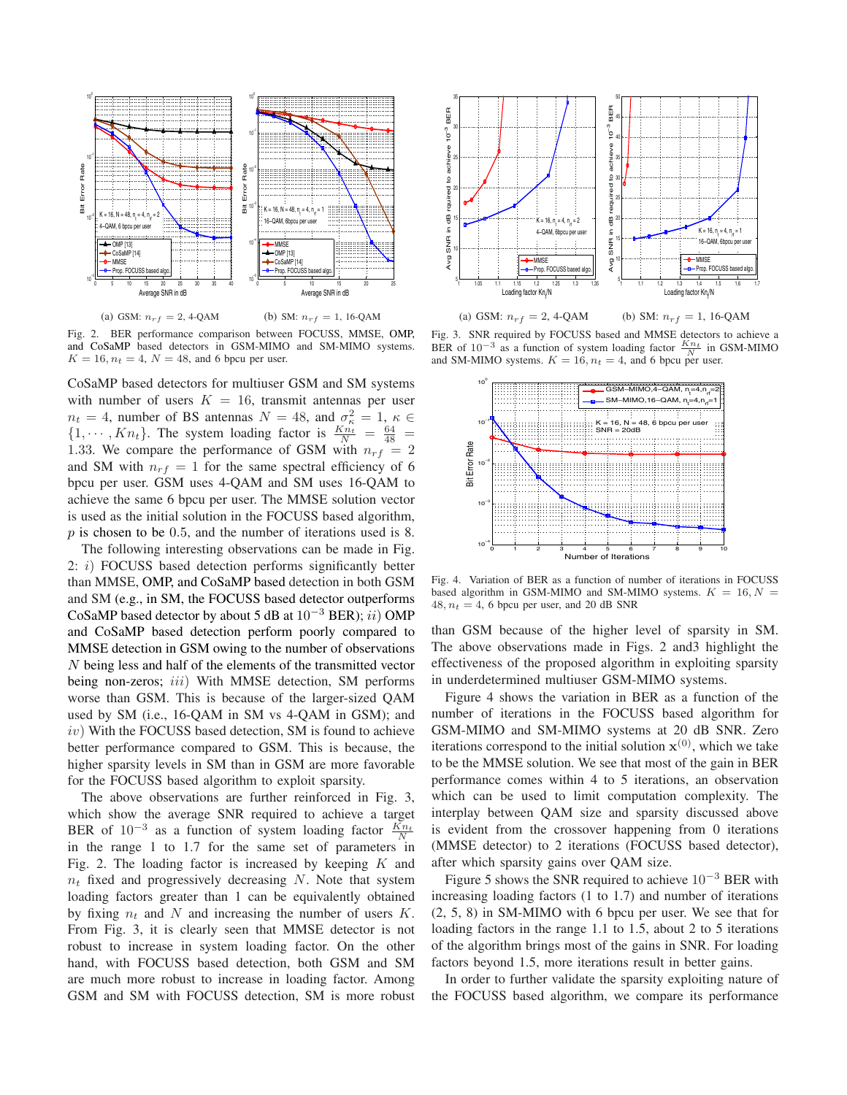

Fig. 2. BER performance comparison between FOCUSS, MMSE, OMP, and CoSaMP based detectors in GSM-MIMO and SM-MIMO systems.  $K = 16, n_t = 4, N = 48,$  and 6 bpcu per user.

CoSaMP based detectors for multiuser GSM and SM systems with number of users  $K = 16$ , transmit antennas per user  $n_t = 4$ , number of BS antennas  $N = 48$ , and  $\sigma_{\kappa}^2 = 1$ ,  $\kappa \in$  $\{1, \dots, K_{n_t}\}\$ . The system loading factor is  $\frac{K_{n_t}}{N} = \frac{64}{48} =$ 1.33. We compare the performance of GSM with  $n_{rf} = 2$ and SM with  $n_{rf} = 1$  for the same spectral efficiency of 6 bpcu per user. GSM uses 4-QAM and SM uses 16-QAM to achieve the same 6 bpcu per user. The MMSE solution vector is used as the initial solution in the FOCUSS based algorithm,  $p$  is chosen to be 0.5, and the number of iterations used is 8.

The following interesting observations can be made in Fig. 2:  $i)$  FOCUSS based detection performs significantly better than MMSE, OMP, and CoSaMP based detection in both GSM and SM (e.g., in SM, the FOCUSS based detector outperforms CoSaMP based detector by about 5 dB at  $10^{-3}$  BER); *ii*) OMP and CoSaMP based detection perform poorly compared to MMSE detection in GSM owing to the number of observations  $N$  being less and half of the elements of the transmitted vector being non-zeros; *iii*) With MMSE detection, SM performs worse than GSM. This is because of the larger-sized QAM used by SM (i.e., 16-QAM in SM vs 4-QAM in GSM); and  $iv)$  With the FOCUSS based detection, SM is found to achieve better performance compared to GSM. This is because, the higher sparsity levels in SM than in GSM are more favorable for the FOCUSS based algorithm to exploit sparsity.

The above observations are further reinforced in Fig. 3, which show the average SNR required to achieve a target BER of  $10^{-3}$  as a function of system loading factor  $\frac{Kn_t}{N}$ in the range 1 to 1.7 for the same set of parameters in Fig. 2. The loading factor is increased by keeping  $K$  and  $n_t$  fixed and progressively decreasing N. Note that system loading factors greater than 1 can be equivalently obtained by fixing  $n_t$  and N and increasing the number of users  $K$ . From Fig. 3, it is clearly seen that MMSE detector is not robust to increase in system loading factor. On the other hand, with FOCUSS based detection, both GSM and SM are much more robust to increase in loading factor. Among GSM and SM with FOCUSS detection, SM is more robust



(a) GSM:  $n_{rf} = 2$ , 4-QAM (b) SM:  $n_{rf} = 1$ , 16-QAM

Fig. 3. SNR required by FOCUSS based and MMSE detectors to achieve a BER of  $10^{-3}$  as a function of system loading factor  $\frac{Kn_t}{N}$  in GSM-MIMO and SM-MIMO systems.  $K = 16$ ,  $n_t = 4$ , and 6 bpcu per user.



Fig. 4. Variation of BER as a function of number of iterations in FOCUSS based algorithm in GSM-MIMO and SM-MIMO systems.  $K = 16, N =$  $48, n_t = 4$ , 6 bpcu per user, and 20 dB SNR

than GSM because of the higher level of sparsity in SM. The above observations made in Figs. 2 and3 highlight the effectiveness of the proposed algorithm in exploiting sparsity in underdetermined multiuser GSM-MIMO systems.

Figure 4 shows the variation in BER as a function of the number of iterations in the FOCUSS based algorithm for GSM-MIMO and SM-MIMO systems at 20 dB SNR. Zero iterations correspond to the initial solution  $x^{(0)}$ , which we take to be the MMSE solution. We see that most of the gain in BER performance comes within 4 to 5 iterations, an observation which can be used to limit computation complexity. The interplay between QAM size and sparsity discussed above is evident from the crossover happening from 0 iterations (MMSE detector) to 2 iterations (FOCUSS based detector), after which sparsity gains over QAM size.

Figure 5 shows the SNR required to achieve  $10^{-3}$  BER with increasing loading factors (1 to 1.7) and number of iterations (2, 5, 8) in SM-MIMO with 6 bpcu per user. We see that for loading factors in the range 1.1 to 1.5, about 2 to 5 iterations of the algorithm brings most of the gains in SNR. For loading factors beyond 1.5, more iterations result in better gains.

In order to further validate the sparsity exploiting nature of the FOCUSS based algorithm, we compare its performance